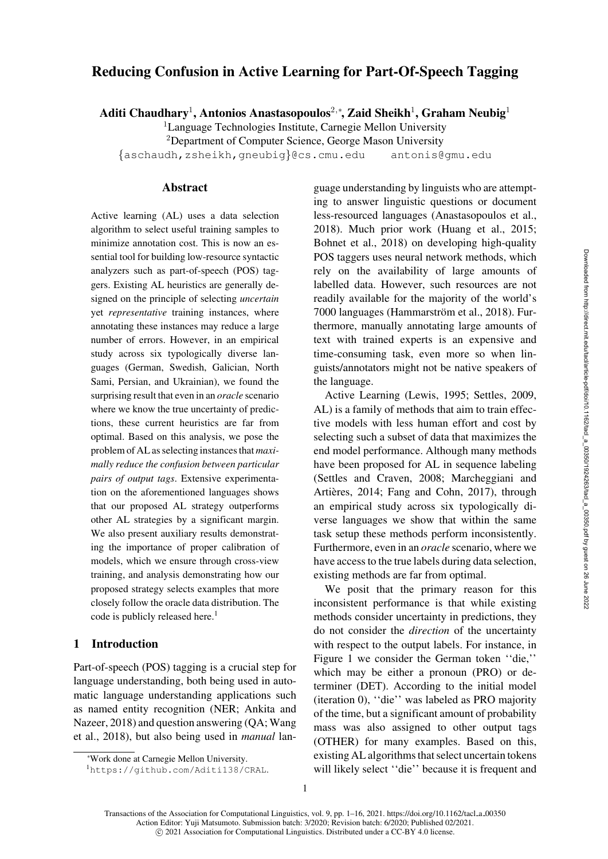# Reducing Confusion in Active Learning for Part-Of-Speech Tagging

Aditi Chaudhary<sup>1</sup>, Antonios Anastasopoulos<sup>2,</sup>\*, Zaid Sheikh<sup>1</sup>, Graham Neubig<sup>1</sup>

 ${}^{1}$ Language Technologies Institute, Carnegie Mellon University

<sup>2</sup>Department of Computer Science, George Mason University

{[aschaudh,](mailto:aschaudh@cs.cmu.edu)[zsheikh,](mailto:zsheikh@cs.cmu.edu)[gneubig](mailto:gneubig@cs.cmu.edu)}@cs.cmu.edu [antonis@gmu.edu](mailto:antonis@gmu.edu)

# Abstract

Active learning (AL) uses a data selection algorithm to select useful training samples to minimize annotation cost. This is now an essential tool for building low-resource syntactic analyzers such as part-of-speech (POS) taggers. Existing AL heuristics are generally designed on the principle of selecting *uncertain* yet *representative* training instances, where annotating these instances may reduce a large number of errors. However, in an empirical study across six typologically diverse languages (German, Swedish, Galician, North Sami, Persian, and Ukrainian), we found the surprising result that even in an *oracle* scenario where we know the true uncertainty of predictions, these current heuristics are far from optimal. Based on this analysis, we pose the problem of AL as selecting instances that *maximally reduce the confusion between particular pairs of output tags*. Extensive experimentation on the aforementioned languages shows that our proposed AL strategy outperforms other AL strategies by a significant margin. We also present auxiliary results demonstrating the importance of proper calibration of models, which we ensure through cross-view training, and analysis demonstrating how our proposed strategy selects examples that more closely follow the oracle data distribution. The code is publicly released here.<sup>1</sup>

# 1 Introduction

Part-of-speech (POS) tagging is a crucial step for language understanding, both being used in automatic language understanding applications such as named entity recognition (NER; Ankita and Nazeer, 2018) and question answering (QA; Wang et al., [2018\)](#page-15-0), but also being used in *manual* lan-

guage understanding by linguists who are attempting to answer linguistic questions or document less-resourced languages [\(Anastasopoulos et al.,](#page-12-0) [2018](#page-12-0)). Much prior work [\(Huang et al., 2015](#page-13-0); [Bohnet et al.](#page-12-1), [2018](#page-12-1)) on developing high-quality POS taggers uses neural network methods, which rely on the availability of large amounts of labelled data. However, such resources are not readily available for the majority of the world's 7000 languages (Hammarström et al., [2018](#page-13-1)). Furthermore, manually annotating large amounts of text with trained experts is an expensive and time-consuming task, even more so when linguists/annotators might not be native speakers of the language.

Active Learning [\(Lewis](#page-14-0), [1995](#page-14-0); [Settles](#page-14-1), [2009,](#page-14-1) AL) is a family of methods that aim to train effective models with less human effort and cost by selecting such a subset of data that maximizes the end model performance. Although many methods have been proposed for AL in sequence labeling [\(Settles and Craven](#page-14-2)[,](#page-14-3) [2008](#page-14-2)[;](#page-14-3) Marcheggiani and Artières, [2014](#page-14-3); [Fang and Cohn, 2017](#page-13-2)), through an empirical study across six typologically diverse languages we show that within the same task setup these methods perform inconsistently. Furthermore, even in an *oracle* scenario, where we have access to the true labels during data selection, existing methods are far from optimal.

We posit that the primary reason for this inconsistent performance is that while existing methods consider uncertainty in predictions, they do not consider the *direction* of the uncertainty with respect to the output labels. For instance, in [Figure 1](#page-1-0) we consider the German token ''die,'' which may be either a pronoun (PRO) or determiner (DET). According to the initial model (iteration 0), ''die'' was labeled as PRO majority of the time, but a significant amount of probability mass was also assigned to other output tags (OTHER) for many examples. Based on this, existing AL algorithms that select uncertain tokens will likely select ''die'' because it is frequent and

<sup>∗</sup> Work done at Carnegie Mellon University.

<span id="page-0-0"></span><sup>1</sup><https://github.com/Aditi138/CRAL>.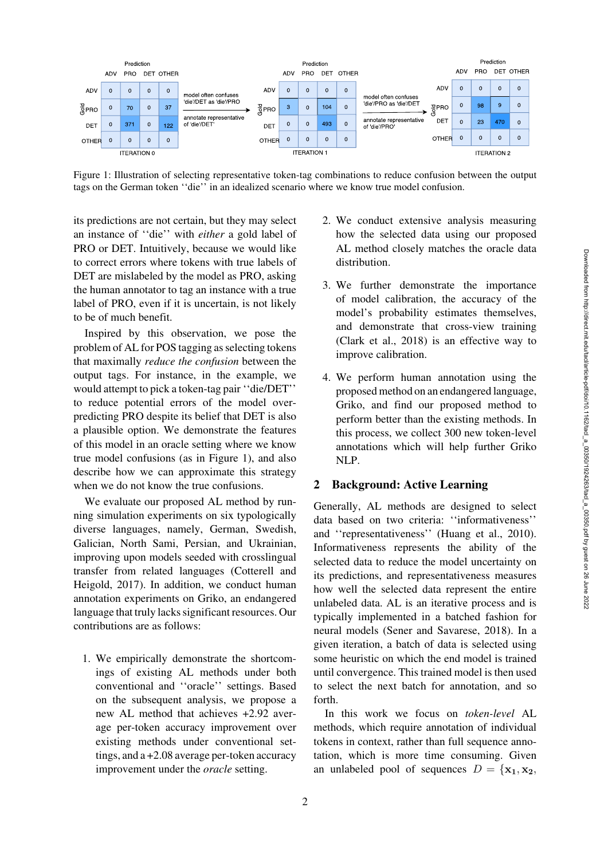Downloaded from http://direct.mit.edu/tacl/article-pdf/doi/10.1162/tacl\_a\_00350/1924263/tacl\_a\_00350.pdf by guest on 26 June 2022

Downloaded from http://direct.mit.edu/tacl/article-pdf/doi/10.1162/tacl\_a\_00350/1924263/tacl\_a\_00350.pdf by guest on 26 June 2022



<span id="page-1-0"></span>Figure 1: Illustration of selecting representative token-tag combinations to reduce confusion between the output tags on the German token ''die'' in an idealized scenario where we know true model confusion.

its predictions are not certain, but they may select an instance of ''die'' with *either* a gold label of PRO or DET. Intuitively, because we would like to correct errors where tokens with true labels of DET are mislabeled by the model as PRO, asking the human annotator to tag an instance with a true label of PRO, even if it is uncertain, is not likely to be of much benefit.

Inspired by this observation, we pose the problem of AL for POS tagging as selecting tokens that maximally *reduce the confusion* between the output tags. For instance, in the example, we would attempt to pick a token-tag pair ''die/DET'' to reduce potential errors of the model overpredicting PRO despite its belief that DET is also a plausible option. We demonstrate the features of this model in an oracle setting where we know true model confusions (as in [Figure 1\)](#page-1-0), and also describe how we can approximate this strategy when we do not know the true confusions.

We evaluate our proposed AL method by running simulation experiments on six typologically diverse languages, namely, German, Swedish, Galician, North Sami, Persian, and Ukrainian, improving upon models seeded with crosslingual transfer [from related languages \(](#page-13-3)Cotterell and Heigold, [2017\)](#page-13-3). In addition, we conduct human annotation experiments on Griko, an endangered language that truly lacks significant resources. Our contributions are as follows:

1. We empirically demonstrate the shortcomings of existing AL methods under both conventional and ''oracle'' settings. Based on the subsequent analysis, we propose a new AL method that achieves +2.92 average per-token accuracy improvement over existing methods under conventional settings, and a +2.08 average per-token accuracy improvement under the *oracle* setting.

- 2. We conduct extensive analysis measuring how the selected data using our proposed AL method closely matches the oracle data distribution.
- 3. We further demonstrate the importance of model calibration, the accuracy of the model's probability estimates themselves, and demonstrate that cross-view training [\(Clark et al.](#page-12-2), [2018\)](#page-12-2) is an effective way to improve calibration.
- 4. We perform human annotation using the proposed method on an endangered language, Griko, and find our proposed method to perform better than the existing methods. In this process, we collect 300 new token-level annotations which will help further Griko NLP.

# <span id="page-1-1"></span>2 Background: Active Learning

Generally, AL methods are designed to select data based on two criteria: ''informativeness'' and ''representativeness'' [\(Huang et al., 2010](#page-13-4)). Informativeness represents the ability of the selected data to reduce the model uncertainty on its predictions, and representativeness measures how well the selected data represent the entire unlabeled data. AL is an iterative process and is typically implemented in a batched fashion for neural models [\(Sener and Savarese](#page-14-4), [2018](#page-14-4)). In a given iteration, a batch of data is selected using some heuristic on which the end model is trained until convergence. This trained model is then used to select the next batch for annotation, and so forth.

In this work we focus on *token-level* AL methods, which require annotation of individual tokens in context, rather than full sequence annotation, which is more time consuming. Given an unlabeled pool of sequences  $D = {\mathbf{x}_1, \mathbf{x}_2, \mathbf{x}_3}$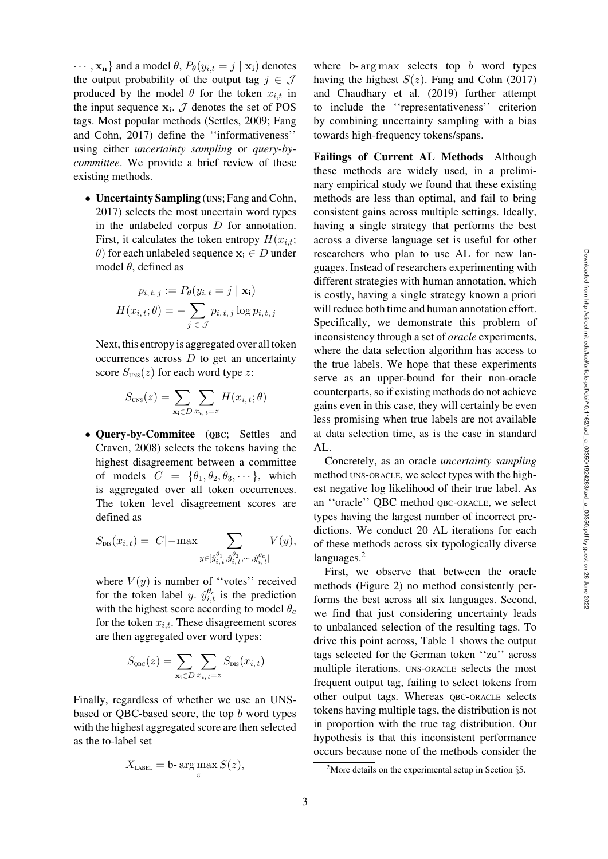$\cdots$ ,  $\mathbf{x_n}$  and a model  $\theta$ ,  $P_{\theta}(y_{i,t} = j | \mathbf{x_i})$  denotes the output probability of the output tag  $j \in \mathcal{J}$ produced by the model  $\theta$  for the token  $x_{i,t}$  in the input sequence  $\mathbf{x}_i$ .  $\mathcal{J}$  denotes the set of POS tags. Mos[t popular methods](#page-13-2) [\(Settles](#page-14-1)[,](#page-13-2) [2009;](#page-14-1) Fang and Cohn, [2017](#page-13-2)) define the ''informativeness'' using either *uncertainty sampling* or *query-bycommittee*. We provide a brief review of these existing methods.

• Uncertainty Sampling (UNS; [Fang and Cohn,](#page-13-2) [2017\)](#page-13-2) selects the most uncertain word types in the unlabeled corpus  $D$  for annotation. First, it calculates the token entropy  $H(x_{i,t};$  $\theta$ ) for each unlabeled sequence  $\mathbf{x_i} \in D$  under model  $\theta$ , defined as

$$
p_{i,t,j} := P_{\theta}(y_{i,t} = j \mid \mathbf{x_i})
$$

$$
H(x_{i,t}; \theta) = -\sum_{j \in \mathcal{J}} p_{i,t,j} \log p_{i,t,j}
$$

Next, this entropy is aggregated over all token occurrences across  $D$  to get an uncertainty score  $S_{\text{UNS}}(z)$  for each word type z:

$$
S_{\text{uns}}(z) = \sum_{\mathbf{x_i} \in D} \sum_{x_{i,t} = z} H(x_{i,t}; \theta)
$$

• Query-by-Commitee (QBC; Settles and Craven, [2008\)](#page-14-2) selects the tokens having the highest disagreement between a committee of models  $C = {\theta_1, \theta_2, \theta_3, \cdots}$ , which is aggregated over all token occurrences. The token level disagreement scores are defined as

$$
S_{\text{DIS}}(x_{i,t}) = |C| - \max \sum_{y \in [\hat{y}_{i,t}^{\theta_1}, \hat{y}_{i,t}^{\theta_2}, \cdots, \hat{y}_{i,t}^{\theta_c}]} V(y),
$$

where  $V(y)$  is number of "votes" received for the token label y.  $\hat{y}_{i,t}^{\theta_c}$  is the prediction with the highest score according to model  $\theta_c$ for the token  $x_{i,t}$ . These disagreement scores are then aggregated over word types:

$$
S_{\rm QBC}(z) = \sum_{\mathbf{x_i} \in D} \sum_{x_{i, t} = z} S_{\rm DIS}(x_{i, t})
$$

Finally, regardless of whether we use an UNSbased or QBC-based score, the top b word types with the highest aggregated score are then selected as the to-label set

$$
X_{\text{LABEL}} = \mathbf{b} \cdot \arg \max_{z} S(z),
$$

where b- $\arg \max$  selects top b word types having the highest  $S(z)$ . [Fang and Cohn](#page-13-2) [\(2017\)](#page-13-2) and [Chaudhary et al.](#page-12-3) [\(2019\)](#page-12-3) further attempt to include the ''representativeness'' criterion by combining uncertainty sampling with a bias towards high-frequency tokens/spans.

Failings of Current AL Methods Although these methods are widely used, in a preliminary empirical study we found that these existing methods are less than optimal, and fail to bring consistent gains across multiple settings. Ideally, having a single strategy that performs the best across a diverse language set is useful for other researchers who plan to use AL for new languages. Instead of researchers experimenting with different strategies with human annotation, which is costly, having a single strategy known a priori will reduce both time and human annotation effort. Specifically, we demonstrate this problem of inconsistency through a set of *oracle* experiments, where the data selection algorithm has access to the true labels. We hope that these experiments serve as an upper-bound for their non-oracle counterparts, so if existing methods do not achieve gains even in this case, they will certainly be even less promising when true labels are not available at data selection time, as is the case in standard AL.

Concretely, as an oracle *uncertainty sampling* method UNS-ORACLE, we select types with the highest negative log likelihood of their true label. As an ''oracle'' QBC method QBC-ORACLE, we select types having the largest number of incorrect predictions. We conduct 20 AL iterations for each of these methods across six typologically diverse languages.<sup>2</sup>

First, we observe that between the oracle methods [\(Figure 2\)](#page-3-0) no method consistently performs the best across all six languages. Second, we find that just considering uncertainty leads to unbalanced selection of the resulting tags. To drive this point across, [Table 1](#page-3-1) shows the output tags selected for the German token ''zu'' across multiple iterations. UNS-ORACLE selects the most frequent output tag, failing to select tokens from other output tags. Whereas QBC-ORACLE selects tokens having multiple tags, the distribution is not in proportion with the true tag distribution. Our hypothesis is that this inconsistent performance occurs because none of the methods consider the

<span id="page-2-0"></span><sup>&</sup>lt;sup>2</sup>More details on the experimental setup in Section  $\S$ [5.](#page-5-0)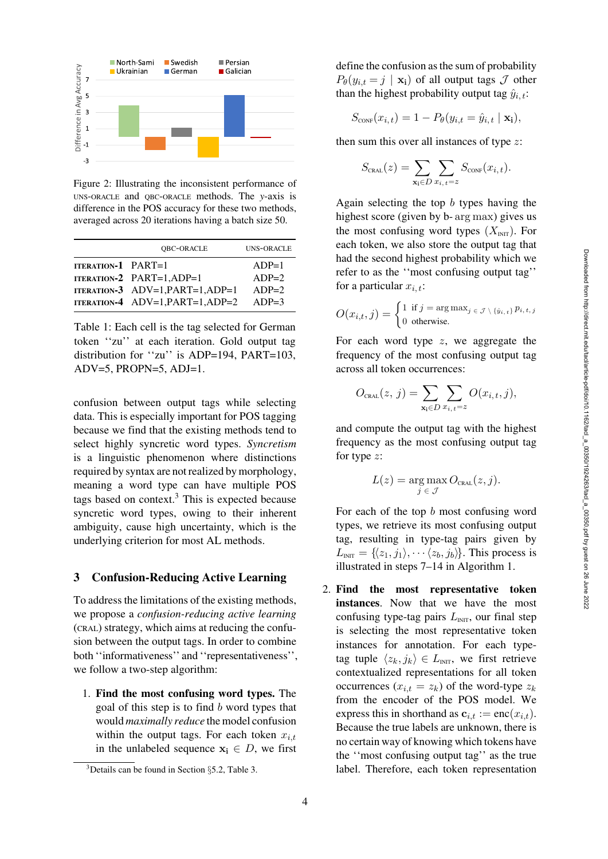

<span id="page-3-0"></span>Figure 2: Illustrating the inconsistent performance of UNS-ORACLE and QBC-ORACLE methods. The *y*-axis is difference in the POS accuracy for these two methods, averaged across 20 iterations having a batch size 50.

|                    | QBC-ORACLE                         | <b>UNS-ORACLE</b> |
|--------------------|------------------------------------|-------------------|
| ITERATION-1 PART=1 |                                    | $ADP=1$           |
|                    | <b>ITERATION-2 PART=1.ADP=1</b>    | $ADP=2$           |
|                    | ITERATION-3 $ADV=1, PART=1, ADP=1$ | $ADP=2$           |
|                    | ITERATION-4 ADV=1, PART=1, ADP=2   | $ADP=3$           |

<span id="page-3-1"></span>Table 1: Each cell is the tag selected for German token ''zu'' at each iteration. Gold output tag distribution for ''zu'' is ADP=194, PART=103,  $ADV=5$ ,  $PROPN=5$ ,  $ADJ=1$ .

confusion between output tags while selecting data. This is especially important for POS tagging because we find that the existing methods tend to select highly syncretic word types. *Syncretism* is a linguistic phenomenon where distinctions required by syntax are not realized by morphology, meaning a word type can have multiple POS tags based on context. $3$  This is expected because syncretic word types, owing to their inherent ambiguity, cause high uncertainty, which is the underlying criterion for most AL methods.

### <span id="page-3-3"></span>3 Confusion-Reducing Active Learning

To address the limitations of the existing methods, we propose a *confusion-reducing active learning* (CRAL) strategy, which aims at reducing the confusion between the output tags. In order to combine both ''informativeness'' and ''representativeness'', we follow a two-step algorithm:

1. Find the most confusing word types. The goal of this step is to find  $b$  word types that would *maximally reduce* the model confusion within the output tags. For each token  $x_{i,t}$ in the unlabeled sequence  $x_i \in D$ , we first define the confusion as the sum of probability  $P_{\theta}(y_{i,t} = j \mid \mathbf{x_i})$  of all output tags  $\mathcal J$  other than the highest probability output tag  $\hat{y}_{i,t}$ :

$$
S_{\text{CONF}}(x_{i,t}) = 1 - P_{\theta}(y_{i,t} = \hat{y}_{i,t} \mid \mathbf{x_i}),
$$

then sum this over all instances of type  $z$ :

$$
S_{\text{cral.}}(z) = \sum_{\mathbf{x_i} \in D} \sum_{x_i, t = z} S_{\text{corr}}(x_{i, t}).
$$

Again selecting the top b types having the highest score (given by b- arg max) gives us the most confusing word types  $(X_{\text{INT}})$ . For each token, we also store the output tag that had the second highest probability which we refer to as the ''most confusing output tag'' for a particular  $x_{i,t}$ :

$$
O(x_{i,t}, j) = \begin{cases} 1 \text{ if } j = \arg \max_{j \in \mathcal{J} \setminus \{\hat{y}_{i,t}\}} p_{i,t,j} \\ 0 \text{ otherwise.} \end{cases}
$$

For each word type  $z$ , we aggregate the frequency of the most confusing output tag across all token occurrences:

$$
O_{\text{cral}}(z, j) = \sum_{\mathbf{x_i} \in D} \sum_{x_{i,t} = z} O(x_{i,t}, j),
$$

and compute the output tag with the highest frequency as the most confusing output tag for type z:

$$
L(z) = \underset{j \in \mathcal{J}}{\arg \max} O_{\text{cral}}(z, j).
$$

For each of the top  $b$  most confusing word types, we retrieve its most confusing output tag, resulting in type-tag pairs given by  $L_{\text{INT}} = \{\langle z_1, j_1 \rangle, \cdots \langle z_b, j_b \rangle\}.$  This process is illustrated in steps 7–14 in [Algorithm 1.](#page-4-0)

2. Find the most representative token instances. Now that we have the most confusing type-tag pairs  $L<sub>INIT</sub>$ , our final step is selecting the most representative token instances for annotation. For each typetag tuple  $\langle z_k, j_k \rangle \in L_{\text{INT}}$ , we first retrieve contextualized representations for all token occurrences  $(x_{i,t} = z_k)$  of the word-type  $z_k$ from the encoder of the POS model. We express this in shorthand as  $\mathbf{c}_{i,t} := \text{enc}(x_{i,t}).$ Because the true labels are unknown, there is no certain way of knowing which tokens have the ''most confusing output tag'' as the true label. Therefore, each token representation

<span id="page-3-2"></span><sup>3</sup>Details can be found in Section §[5.2,](#page-7-0) [Table 3.](#page-7-1)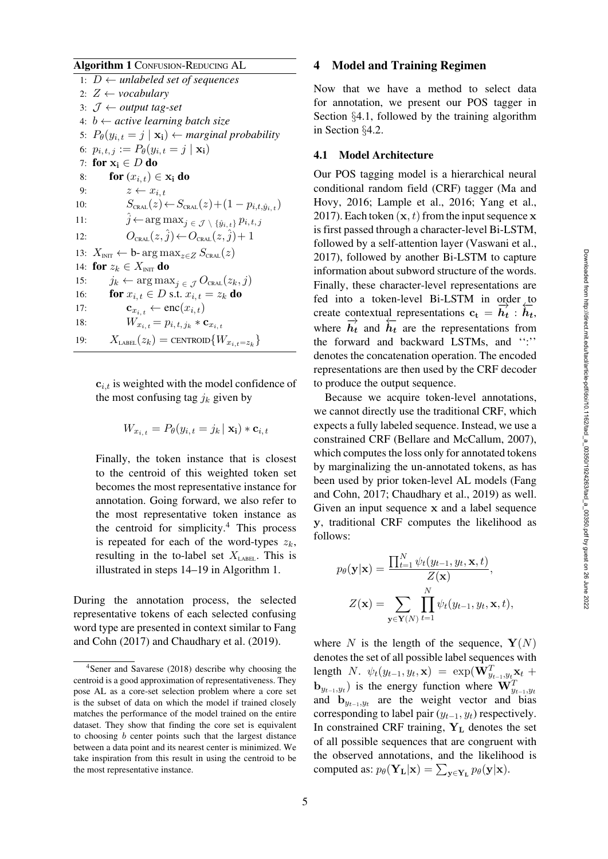### Algorithm 1 CONFUSION-REDUCING AL

1:  $D \leftarrow$  *unlabeled set of sequences* 2:  $Z \leftarrow \textit{vocabulary}$ 3: J ← *output tag-set* 4: b ← *active learning batch size* 5:  $P_{\theta}(y_{i,t} = j | \mathbf{x_i}) \leftarrow$  *marginal probability* 6:  $p_{i, t, j} := P_{\theta}(y_{i, t} = j | \mathbf{x_i})$ 7: for  $x_i \in D$  do 8: **for**  $(x_{i,t}) \in \mathbf{x_i}$  do 9:  $z \leftarrow x_{i,t}$ 10:  $S_{\text{CRAL}}(z) \leftarrow S_{\text{CRAL}}(z) + (1 - p_{i,t,\hat{y}_{i,t}})$ 11:  $\hat{j} \leftarrow \arg \max_{j \in \mathcal{J}} \setminus \{\hat{y}_{i,t}\} p_{i,t,j}$ 12:  $O_{\text{CRAL}}(z, \hat{j}) \leftarrow O_{\text{CRAL}}(z, \hat{j}) + 1$ 13:  $X_{\text{INT}} \leftarrow b$ - arg max<sub>z∈Z</sub>  $S_{\text{CRAL}}(z)$ 14: for  $z_k \in X_{\text{INT}}$  do 15:  $j_k \leftarrow \arg \max_j \sum_{j \in \mathcal{J}} O_{\text{CRAL}}(z_k, j)$ 16: **for**  $x_{i,t} \in D$  s.t.  $x_{i,t} = z_k$  **do** 17: **c**<sub>x<sub>i, t</sub>  $\leftarrow$  enc $(x_i, t)$ </sub> 18:  $W_{x_{i,t}} = p_{i,t,j_k} * \mathbf{c}_{x_{i,t}}$ 19:  $X_{\text{LABEL}}(z_k) = \text{CENTROID}\{W_{x_{i,t}=z_k}\}\$ 

<span id="page-4-0"></span> $c_{i,t}$  is weighted with the model confidence of the most confusing tag  $j_k$  given by

$$
W_{x_{i,t}} = P_{\theta}(y_{i,t} = j_k | \mathbf{x_i}) * \mathbf{c}_{i,t}
$$

Finally, the token instance that is closest to the centroid of this weighted token set becomes the most representative instance for annotation. Going forward, we also refer to the most representative token instance as the centroid for simplicity. $4$  This process is repeated for each of the word-types  $z_k$ , resulting in the to-label set  $X<sub>LABEL</sub>$ . This is illustrated in steps 14–19 in [Algorithm 1.](#page-4-0)

During the annotation process, the selected representative tokens of each selected confusing word typ[e are presented in context similar to](#page-13-2) Fang and Cohn [\(2017\)](#page-13-2) and [Chaudhary et al.](#page-12-3) [\(2019\)](#page-12-3).

#### 4 Model and Training Regimen

Now that we have a method to select data for annotation, we present our POS tagger in Section §[4.1,](#page-4-2) followed by the training algorithm in Section §[4.2.](#page-5-1)

#### <span id="page-4-2"></span>4.1 Model Architecture

Our POS tagging model is a hierarchical neural condi[tional random field \(CRF\) tagger \(](#page-14-5)Ma and Hovy, [2016;](#page-14-5) [Lample et al.](#page-13-5), [2016;](#page-13-5) [Yang et al.,](#page-15-1) [2017](#page-15-1)). Each token  $(x, t)$  from the input sequence **x** is first passed through a character-level Bi-LSTM, followed by a self-attention layer [\(Vaswani et al.,](#page-15-2) [2017](#page-15-2)), followed by another Bi-LSTM to capture information about subword structure of the words. Finally, these character-level representations are fed into a token-level Bi-LSTM in order to create contextual representations  $c_t = \overrightarrow{h_t} : \overrightarrow{h_t}$ where  $\overrightarrow{h_t}$  and  $\overleftarrow{h_t}$  are the representations from the forward and backward LSTMs, and '':'' denotes the concatenation operation. The encoded representations are then used by the CRF decoder to produce the output sequence.

Because we acquire token-level annotations, we cannot directly use the traditional CRF, which expects a fully labeled sequence. Instead, we use a constrained CRF [\(Bellare and McCallum, 2007](#page-12-4)), which computes the loss only for annotated tokens by marginalizing the un-annotated tokens, as has been use[d](#page-13-2) [by](#page-13-2) [prior](#page-13-2) [token-level](#page-13-2) [AL](#page-13-2) [models](#page-13-2) [\(](#page-13-2)Fang and Cohn, [2017;](#page-13-2) [Chaudhary et al.](#page-12-3), [2019\)](#page-12-3) as well. Given an input sequence **x** and a label sequence **y**, traditional CRF computes the likelihood as follows:

$$
p_{\theta}(\mathbf{y}|\mathbf{x}) = \frac{\prod_{t=1}^{N} \psi_t(y_{t-1}, y_t, \mathbf{x}, t)}{Z(\mathbf{x})},
$$

$$
Z(\mathbf{x}) = \sum_{\mathbf{y} \in \mathbf{Y}(N)} \prod_{t=1}^{N} \psi_t(y_{t-1}, y_t, \mathbf{x}, t),
$$

where N is the length of the sequence,  $\mathbf{Y}(N)$ denotes the set of all possible label sequences with length N.  $\psi_t(y_{t-1}, y_t, \mathbf{x}) = \exp(\mathbf{W}_{y_{t-1}, y_t}^T \mathbf{x}_t +$  $\mathbf{b}_{y_{t-1},y_t}$ ) is the energy function where  $\mathbf{W}_{y_{t-1},y_t}^T$ and  $\mathbf{b}_{y_{t-1},y_t}$  are the weight vector and bias corresponding to label pair  $(y_{t-1}, y_t)$  respectively. In constrained CRF training,  $Y_L$  denotes the set of all possible sequences that are congruent with the observed annotations, and the likelihood is computed as:  $p_{\theta}(\mathbf{Y}_{\mathbf{L}}|\mathbf{x}) = \sum_{\mathbf{y} \in \mathbf{Y}_{\mathbf{L}}} p_{\theta}(\mathbf{y}|\mathbf{x}).$ 

<span id="page-4-1"></span>[<sup>4</sup>Sener and Savarese](#page-14-4) [\(2018\)](#page-14-4) describe why choosing the centroid is a good approximation of representativeness. They pose AL as a core-set selection problem where a core set is the subset of data on which the model if trained closely matches the performance of the model trained on the entire dataset. They show that finding the core set is equivalent to choosing  $b$  center points such that the largest distance between a data point and its nearest center is minimized. We take inspiration from this result in using the centroid to be the most representative instance.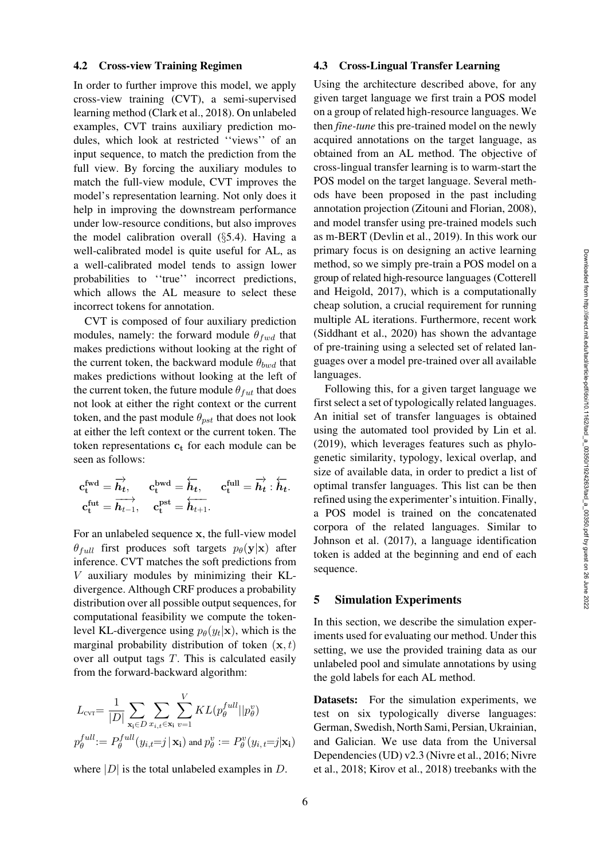#### <span id="page-5-1"></span>4.2 Cross-view Training Regimen

In order to further improve this model, we apply cross-view training (CVT), a semi-supervised learning method [\(Clark et al.](#page-12-2), [2018](#page-12-2)). On unlabeled examples, CVT trains auxiliary prediction modules, which look at restricted ''views'' of an input sequence, to match the prediction from the full view. By forcing the auxiliary modules to match the full-view module, CVT improves the model's representation learning. Not only does it help in improving the downstream performance under low-resource conditions, but also improves the model calibration overall (§[5.4\)](#page-9-0). Having a well-calibrated model is quite useful for AL, as a well-calibrated model tends to assign lower probabilities to ''true'' incorrect predictions, which allows the AL measure to select these incorrect tokens for annotation.

CVT is composed of four auxiliary prediction modules, namely: the forward module  $\theta_{fwd}$  that makes predictions without looking at the right of the current token, the backward module  $\theta_{bwd}$  that makes predictions without looking at the left of the current token, the future module  $\theta_{fut}$  that does not look at either the right context or the current token, and the past module  $\theta_{pst}$  that does not look at either the left context or the current token. The token representations  $c_t$  for each module can be seen as follows:

$$
\begin{aligned} \mathbf{c}_\mathrm{t}^\mathrm{fwd} &= \overrightarrow{\boldsymbol{h}_t}, \qquad \mathbf{c}_\mathrm{t}^\mathrm{bwd} = \overleftarrow{\boldsymbol{h}_t}, \qquad \mathbf{c}_\mathrm{t}^\mathrm{full} = \overrightarrow{\boldsymbol{h}_t} : \overleftarrow{\boldsymbol{h}_t}. \\ \mathbf{c}_\mathrm{t}^\mathrm{fut} &= \overrightarrow{\boldsymbol{h}_{t-1}}, \qquad \mathbf{c}_\mathrm{t}^\mathrm{pst} = \overleftarrow{\boldsymbol{h}_{t+1}}. \end{aligned}
$$

For an unlabeled sequence **x**, the full-view model  $\theta_{full}$  first produces soft targets  $p_{\theta}(\mathbf{y}|\mathbf{x})$  after inference. CVT matches the soft predictions from V auxiliary modules by minimizing their KLdivergence. Although CRF produces a probability distribution over all possible output sequences, for computational feasibility we compute the tokenlevel KL-divergence using  $p_{\theta}(y_t|\mathbf{x})$ , which is the marginal probability distribution of token  $(\mathbf{x}, t)$ over all output tags  $T$ . This is calculated easily from the forward-backward algorithm:

$$
L_{\text{cvr}} = \frac{1}{|D|} \sum_{\mathbf{x}_i \in D} \sum_{x_i, t \in \mathbf{x}_i} \sum_{v=1}^V KL(p_\theta^{full} || p_\theta^v)
$$
  

$$
p_\theta^{full} := P_\theta^{full}(y_{i,t} = j | \mathbf{x}_i) \text{ and } p_\theta^v := P_\theta^v(y_{i,t} = j | \mathbf{x}_i)
$$

where  $|D|$  is the total unlabeled examples in D.

### 4.3 Cross-Lingual Transfer Learning

Using the architecture described above, for any given target language we first train a POS model on a group of related high-resource languages. We then *fine-tune* this pre-trained model on the newly acquired annotations on the target language, as obtained from an AL method. The objective of cross-lingual transfer learning is to warm-start the POS model on the target language. Several methods have been proposed in the past including annotation projection [\(Zitouni and Florian, 2008](#page-15-3)), and model transfer using pre-trained models such as m-BERT [\(Devlin et al.](#page-13-6), [2019\)](#page-13-6). In this work our primary focus is on designing an active learning method, so we simply pre-train a POS model on a group of related high-resource languages (Cotterell and Heigold, [2017\)](#page-13-3), which is a computationally cheap solution, a crucial requirement for running multiple AL iterations. Furthermore, recent work [\(Siddhant et al.](#page-15-4), [2020](#page-15-4)) has shown the advantage of pre-training using a selected set of related languages over a model pre-trained over all available languages.

Following this, for a given target language we first select a set of typologically related languages. An initial set of transfer languages is obtained using the automated tool provided by [Lin et al.](#page-14-6) [\(2019\)](#page-14-6), which leverages features such as phylogenetic similarity, typology, lexical overlap, and size of available data, in order to predict a list of optimal transfer languages. This list can be then refined using the experimenter's intuition. Finally, a POS model is trained on the concatenated corpora of the related languages. Similar to [Johnson et al.](#page-13-7) [\(2017\)](#page-13-7), a language identification token is added at the beginning and end of each sequence.

#### <span id="page-5-0"></span>5 Simulation Experiments

In this section, we describe the simulation experiments used for evaluating our method. Under this setting, we use the provided training data as our unlabeled pool and simulate annotations by using the gold labels for each AL method.

Datasets: For the simulation experiments, we test on six typologically diverse languages: German, Swedish, North Sami, Persian, Ukrainian, and Galician. We use data from the Universal Dependencies (UD) v2.3 [\(Nivre et al., 2016](#page-14-7); Nivre et al., [2018;](#page-15-5) [Kirov et al.](#page-13-8), [2018\)](#page-13-8) treebanks with the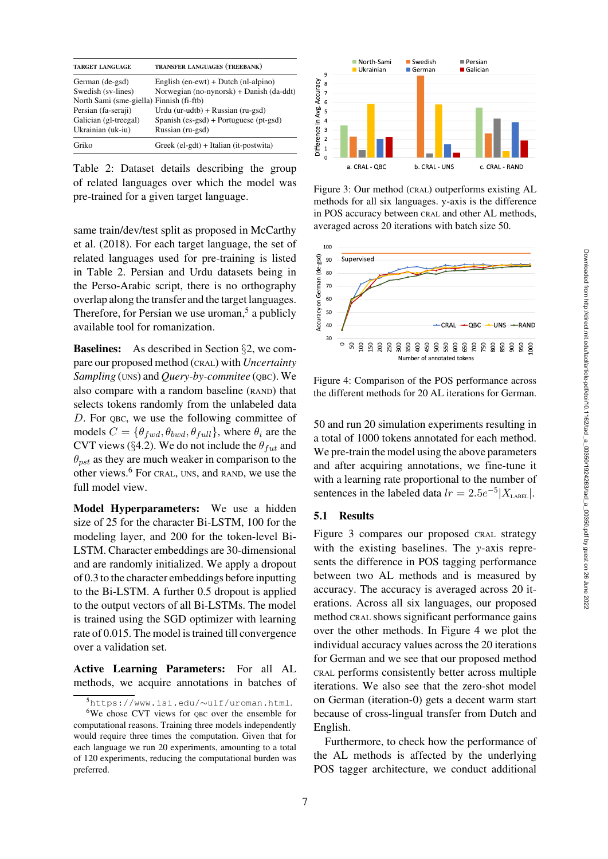| <b>TARGET LANGUAGE</b>                   | <b>TRANSFER LANGUAGES (TREEBANK)</b>             |
|------------------------------------------|--------------------------------------------------|
| German (de-gsd)                          | English $(en$ -ewt $)$ + Dutch $(n!$ -alpino $)$ |
| Swedish (sv-lines)                       | Norwegian (no-nynorsk) + Danish (da-ddt)         |
| North Sami (sme-giella) Finnish (fi-ftb) |                                                  |
| Persian (fa-seraji)                      | Urdu (ur-udtb) + Russian (ru-gsd)                |
| Galician (gl-treegal)                    | Spanish $(es-gsd) + Portuquese (pt-gsd)$         |
| Ukrainian (uk-iu)                        | Russian (ru-gsd)                                 |
| Griko                                    | Greek (el-gdt) + Italian (it-postwita)           |

<span id="page-6-0"></span>Table 2: Dataset details describing the group of related languages over which the model was pre-trained for a given target language.

sam[e](#page-14-8) [train/dev/test](#page-14-8) [split](#page-14-8) [as](#page-14-8) [proposed](#page-14-8) [in](#page-14-8) McCarthy et al. [\(2018\)](#page-14-8). For each target language, the set of related languages used for pre-training is listed in [Table 2.](#page-6-0) Persian and Urdu datasets being in the Perso-Arabic script, there is no orthography overlap along the transfer and the target languages. Therefore, for Persian we use uroman, $5$  a publicly available tool for romanization.

Baselines: As described in Section §[2,](#page-1-1) we compare our proposed method (CRAL) with *Uncertainty Sampling* (UNS) and *Query-by-commitee* (QBC). We also compare with a random baseline (RAND) that selects tokens randomly from the unlabeled data D. For QBC, we use the following committee of models  $C = \{\theta_{fwd}, \theta_{bwd}, \theta_{full}\}$ , where  $\theta_i$  are the CVT views (§[4.2\)](#page-5-1). We do not include the  $\theta_{fut}$  and  $\theta_{pst}$  as they are much weaker in comparison to the other views.[6](#page-6-2) For CRAL, UNS, and RAND, we use the full model view.

Model Hyperparameters: We use a hidden size of 25 for the character Bi-LSTM, 100 for the modeling layer, and 200 for the token-level Bi-LSTM. Character embeddings are 30-dimensional and are randomly initialized. We apply a dropout of 0.3 to the character embeddings before inputting to the Bi-LSTM. A further 0.5 dropout is applied to the output vectors of all Bi-LSTMs. The model is trained using the SGD optimizer with learning rate of 0.015. The model is trained till convergence over a validation set.

Active Learning Parameters: For all AL methods, we acquire annotations in batches of



<span id="page-6-3"></span>Figure 3: Our method (CRAL) outperforms existing AL methods for all six languages. y-axis is the difference in POS accuracy between CRAL and other AL methods, averaged across 20 iterations with batch size 50.



<span id="page-6-4"></span>Figure 4: Comparison of the POS performance across the different methods for 20 AL iterations for German.

50 and run 20 simulation experiments resulting in a total of 1000 tokens annotated for each method. We pre-train the model using the above parameters and after acquiring annotations, we fine-tune it with a learning rate proportional to the number of sentences in the labeled data  $lr = 2.5e^{-5} |X_{\text{LABEL}}|$ .

#### 5.1 Results

[Figure 3](#page-6-3) compares our proposed CRAL strategy with the existing baselines. The *y*-axis represents the difference in POS tagging performance between two AL methods and is measured by accuracy. The accuracy is averaged across 20 iterations. Across all six languages, our proposed method CRAL shows significant performance gains over the other methods. In [Figure 4](#page-6-4) we plot the individual accuracy values across the 20 iterations for German and we see that our proposed method CRAL performs consistently better across multiple iterations. We also see that the zero-shot model on German (iteration-0) gets a decent warm start because of cross-lingual transfer from Dutch and English.

Furthermore, to check how the performance of the AL methods is affected by the underlying POS tagger architecture, we conduct additional

<span id="page-6-1"></span><sup>5</sup>[https://www.isi.edu/](https://www.isi.edu/~ulf/uroman.html)∼ulf/uroman.html.

<span id="page-6-2"></span><sup>&</sup>lt;sup>6</sup>We chose CVT views for <u>o</u>BC over the ensemble for computational reasons. Training three models independently would require three times the computation. Given that for each language we run 20 experiments, amounting to a total of 120 experiments, reducing the computational burden was preferred.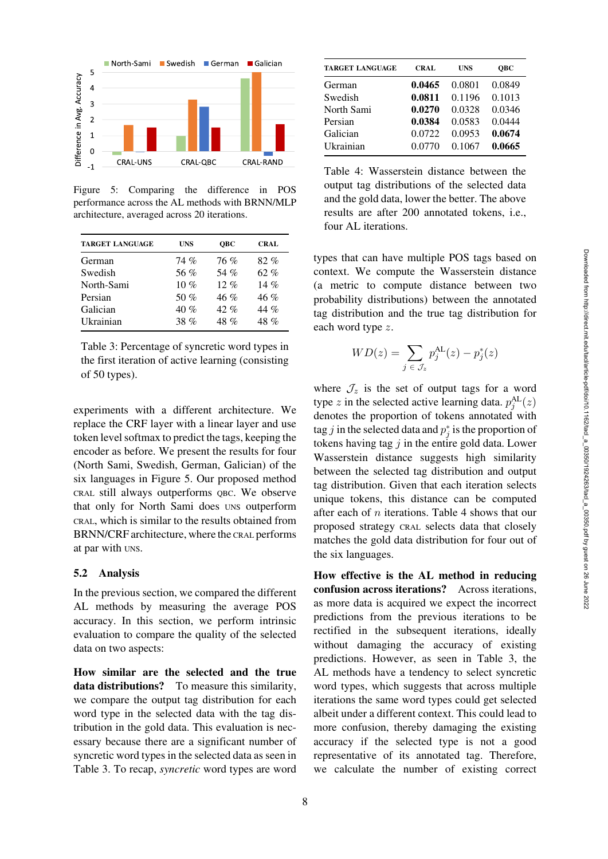

<span id="page-7-2"></span>Figure 5: Comparing the difference in POS performance across the AL methods with BRNN/MLP architecture, averaged across 20 iterations.

| <b>TARGET LANGUAGE</b> | <b>UNS</b> | ОВС      | <b>CRAL</b> |
|------------------------|------------|----------|-------------|
| German                 | 74 %       | 76 %     | 82%         |
| Swedish                | 56 %       | 54 %     | 62%         |
| North-Sami             | $10 \%$    | $12. \%$ | 14 $%$      |
| Persian                | 50 $%$     | $46 \%$  | 46%         |
| Galician               | 40%        | $42\%$   | 44 %        |
| Ukrainian              | 38 %       | $48\%$   | $48\%$      |

<span id="page-7-1"></span>Table 3: Percentage of syncretic word types in the first iteration of active learning (consisting of 50 types).

experiments with a different architecture. We replace the CRF layer with a linear layer and use token level softmax to predict the tags, keeping the encoder as before. We present the results for four (North Sami, Swedish, German, Galician) of the six languages in [Figure 5.](#page-7-2) Our proposed method CRAL still always outperforms QBC. We observe that only for North Sami does UNS outperform CRAL, which is similar to the results obtained from BRNN/CRF architecture, where the CRAL performs at par with UNS.

### <span id="page-7-0"></span>5.2 Analysis

In the previous section, we compared the different AL methods by measuring the average POS accuracy. In this section, we perform intrinsic evaluation to compare the quality of the selected data on two aspects:

How similar are the selected and the true data distributions? To measure this similarity, we compare the output tag distribution for each word type in the selected data with the tag distribution in the gold data. This evaluation is necessary because there are a significant number of syncretic word types in the selected data as seen in [Table 3.](#page-7-1) To recap, *syncretic* word types are word

| <b>TARGET LANGUAGE</b> | <b>CRAL</b> | <b>UNS</b> | ОВС    |
|------------------------|-------------|------------|--------|
| German                 | 0.0465      | 0.0801     | 0.0849 |
| Swedish                | 0.0811      | 0.1196     | 0.1013 |
| North Sami             | 0.0270      | 0.0328     | 0.0346 |
| Persian                | 0.0384      | 0.0583     | 0.0444 |
| Galician               | 0.0722      | 0.0953     | 0.0674 |
| Ukrainian              | 0.0770      | 0.1067     | 0.0665 |

<span id="page-7-3"></span>Table 4: Wasserstein distance between the output tag distributions of the selected data and the gold data, lower the better. The above results are after 200 annotated tokens, i.e., four AL iterations.

types that can have multiple POS tags based on context. We compute the Wasserstein distance (a metric to compute distance between two probability distributions) between the annotated tag distribution and the true tag distribution for each word type z.

$$
WD(z) = \sum_{j \in \mathcal{J}_z} p_j^{\text{AL}}(z) - p_j^*(z)
$$

where  $\mathcal{J}_z$  is the set of output tags for a word type z in the selected active learning data.  $p_j^{\text{AL}}(z)$ denotes the proportion of tokens annotated with tag j in the selected data and  $p_j^*$  is the proportion of tokens having tag  $j$  in the entire gold data. Lower Wasserstein distance suggests high similarity between the selected tag distribution and output tag distribution. Given that each iteration selects unique tokens, this distance can be computed after each of  $n$  iterations. [Table 4](#page-7-3) shows that our proposed strategy CRAL selects data that closely matches the gold data distribution for four out of the six languages.

How effective is the AL method in reducing confusion across iterations? Across iterations, as more data is acquired we expect the incorrect predictions from the previous iterations to be rectified in the subsequent iterations, ideally without damaging the accuracy of existing predictions. However, as seen in [Table 3,](#page-7-1) the AL methods have a tendency to select syncretic word types, which suggests that across multiple iterations the same word types could get selected albeit under a different context. This could lead to more confusion, thereby damaging the existing accuracy if the selected type is not a good representative of its annotated tag. Therefore, we calculate the number of existing correct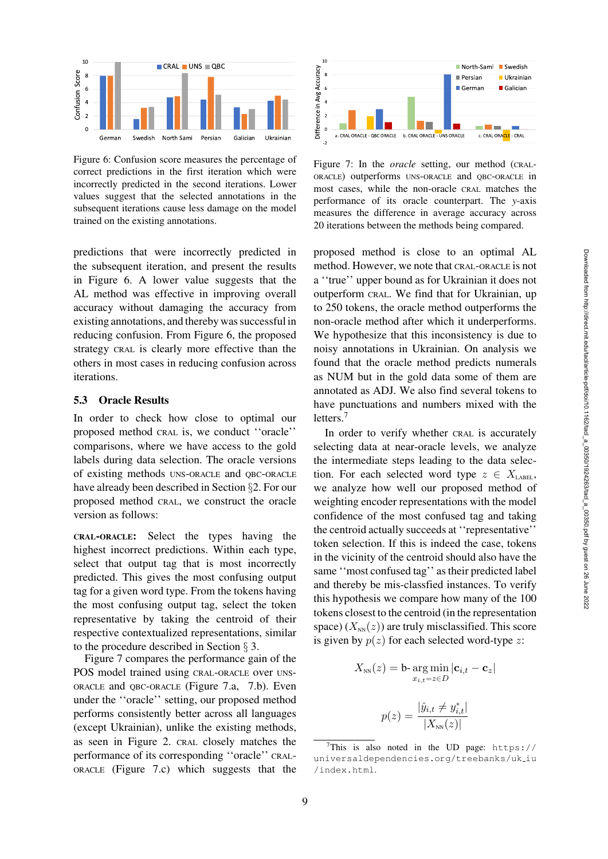

<span id="page-8-0"></span>Figure 6: Confusion score measures the percentage of correct predictions in the first iteration which were incorrectly predicted in the second iterations. Lower values suggest that the selected annotations in the subsequent iterations cause less damage on the model trained on the existing annotations.

predictions that were incorrectly predicted in the subsequent iteration, and present the results in [Figure 6.](#page-8-0) A lower value suggests that the AL method was effective in improving overall accuracy without damaging the accuracy from existing annotations, and thereby was successful in reducing confusion. From [Figure 6,](#page-8-0) the proposed strategy CRAL is clearly more effective than the others in most cases in reducing confusion across iterations.

# 5.3 Oracle Results

In order to check how close to optimal our proposed method CRAL is, we conduct ''oracle'' comparisons, where we have access to the gold labels during data selection. The oracle versions of existing methods UNS-ORACLE and QBC-ORACLE have already been described in Section §[2.](#page-1-1) For our proposed method CRAL, we construct the oracle version as follows:

CRAL-ORACLE: Select the types having the highest incorrect predictions. Within each type, select that output tag that is most incorrectly predicted. This gives the most confusing output tag for a given word type. From the tokens having the most confusing output tag, select the token representative by taking the centroid of their respective contextualized representations, similar to the procedure described in Section § [3.](#page-3-3)

[Figure 7](#page-8-1) compares the performance gain of the POS model trained using CRAL-ORACLE over UNS-ORACLE and QBC-ORACLE [\(Figure 7.a, 7.b\)](#page-8-1). Even under the ''oracle'' setting, our proposed method performs consistently better across all languages (except Ukrainian), unlike the existing methods, as seen in [Figure 2.](#page-3-0) CRAL closely matches the performance of its corresponding ''oracle'' CRAL-ORACLE [\(Figure 7.c\)](#page-8-1) which suggests that the



<span id="page-8-1"></span>Figure 7: In the *oracle* setting, our method (CRAL-ORACLE) outperforms UNS-ORACLE and QBC-ORACLE in most cases, while the non-oracle CRAL matches the performance of its oracle counterpart. The *y*-axis measures the difference in average accuracy across 20 iterations between the methods being compared.

proposed method is close to an optimal AL method. However, we note that CRAL-ORACLE is not a ''true'' upper bound as for Ukrainian it does not outperform CRAL. We find that for Ukrainian, up to 250 tokens, the oracle method outperforms the non-oracle method after which it underperforms. We hypothesize that this inconsistency is due to noisy annotations in Ukrainian. On analysis we found that the oracle method predicts numerals as NUM but in the gold data some of them are annotated as ADJ. We also find several tokens to have punctuations and numbers mixed with the letters.[7](#page-8-2)

In order to verify whether CRAL is accurately selecting data at near-oracle levels, we analyze the intermediate steps leading to the data selection. For each selected word type  $z \in X_{\text{LABEL}}$ , we analyze how well our proposed method of weighting encoder representations with the model confidence of the most confused tag and taking the centroid actually succeeds at ''representative'' token selection. If this is indeed the case, tokens in the vicinity of the centroid should also have the same ''most confused tag'' as their predicted label and thereby be mis-classfied instances. To verify this hypothesis we compare how many of the 100 tokens closest to the centroid (in the representation space)  $(X_{NN}(z))$  are truly misclassified. This score is given by  $p(z)$  for each selected word-type z:

$$
X_{NN}(z) = \mathbf{b} \cdot \underset{x_{i,t} = z \in D}{\arg \min} |\mathbf{c}_{i,t} - \mathbf{c}_z|
$$

$$
p(z) = \frac{|\hat{y}_{i,t} \neq y_{i,t}^*|}{|X - y_{i,t}|}
$$

<span id="page-8-2"></span>[/index.html](https://universaldependencies.org/treebanks/uk_iu/index.html).

 $|X_{\text{NN}}(z)|$ <sup>7</sup>This is also noted in the UD page:  $https://$ [universaldependencies.org/treebanks/uk](https://universaldependencies.org/treebanks/uk_iu/index.html) iu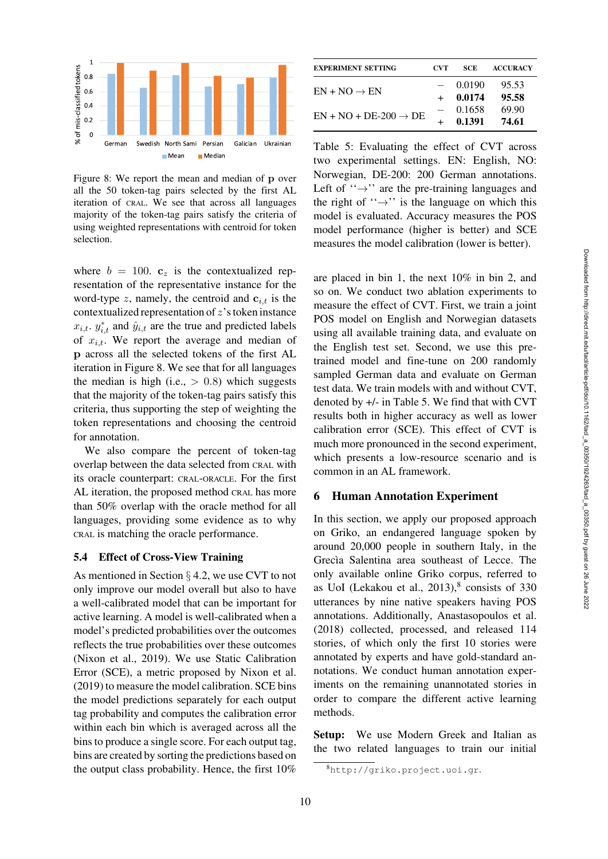

<span id="page-9-1"></span>Figure 8: We report the mean and median of **p** over all the 50 token-tag pairs selected by the first AL iteration of CRAL. We see that across all languages majority of the token-tag pairs satisfy the criteria of using weighted representations with centroid for token selection.

where  $b = 100$ .  $c_z$  is the contextualized representation of the representative instance for the word-type z, namely, the centroid and  $c_{i,t}$  is the contextualized representation of  $z$ 's token instance  $x_{i,t}$ .  $y_{i,t}^*$  and  $\hat{y}_{i,t}$  are the true and predicted labels of  $x_{i,t}$ . We report the average and median of **p** across all the selected tokens of the first AL iteration in [Figure 8.](#page-9-1) We see that for all languages the median is high (i.e.,  $> 0.8$ ) which suggests that the majority of the token-tag pairs satisfy this criteria, thus supporting the step of weighting the token representations and choosing the centroid for annotation.

We also compare the percent of token-tag overlap between the data selected from CRAL with its oracle counterpart: CRAL-ORACLE. For the first AL iteration, the proposed method CRAL has more than 50% overlap with the oracle method for all languages, providing some evidence as to why CRAL is matching the oracle performance.

#### <span id="page-9-0"></span>5.4 Effect of Cross-View Training

As mentioned in Section § [4.2,](#page-5-1) we use CVT to not only improve our model overall but also to have a well-calibrated model that can be important for active learning. A model is well-calibrated when a model's predicted probabilities over the outcomes reflects the true probabilities over these outcomes [\(Nixon et al.](#page-14-9), [2019\)](#page-14-9). We use Static Calibration Error (SCE), a metric proposed by [Nixon et al.](#page-14-9) [\(2019\)](#page-14-9) to measure the model calibration. SCE bins the model predictions separately for each output tag probability and computes the calibration error within each bin which is averaged across all the bins to produce a single score. For each output tag, bins are created by sorting the predictions based on the output class probability. Hence, the first 10%

| <b>EXPERIMENT SETTING</b>         | CVT. | SCE.   | <b>ACCURACY</b> |
|-----------------------------------|------|--------|-----------------|
|                                   |      | 0.0190 | 95.53           |
| $EN + NO \rightarrow EN$          |      | 0.0174 | 95.58           |
| $EN + NO + DE-200 \rightarrow DE$ |      | 0.1658 | 69.90           |
|                                   |      | 0.1391 | 74.61           |

<span id="page-9-2"></span>Table 5: Evaluating the effect of CVT across two experimental settings. EN: English, NO: Norwegian, DE-200: 200 German annotations. Left of  $\dddot{\varphi}$  are the pre-training languages and the right of " $\rightarrow$ " is the language on which this model is evaluated. Accuracy measures the POS model performance (higher is better) and SCE measures the model calibration (lower is better).

are placed in bin 1, the next 10% in bin 2, and so on. We conduct two ablation experiments to measure the effect of CVT. First, we train a joint POS model on English and Norwegian datasets using all available training data, and evaluate on the English test set. Second, we use this pretrained model and fine-tune on 200 randomly sampled German data and evaluate on German test data. We train models with and without CVT, denoted by +/- in [Table 5.](#page-9-2) We find that with CVT results both in higher accuracy as well as lower calibration error (SCE). This effect of CVT is much more pronounced in the second experiment, which presents a low-resource scenario and is common in an AL framework.

#### 6 Human Annotation Experiment

In this section, we apply our proposed approach on Griko, an endangered language spoken by around 20,000 people in southern Italy, in the Grecia Salentina area southeast of Lecce. The only available online Griko corpus, referred to as UoI (Lekakou et al.,  $2013$ ), $8$  consists of 330 utterances by nine native speakers having POS annotations. Additionally, [Anastasopoulos et al.](#page-12-0) [\(2018\)](#page-12-0) collected, processed, and released 114 stories, of which only the first 10 stories were annotated by experts and have gold-standard annotations. We conduct human annotation experiments on the remaining unannotated stories in order to compare the different active learning methods.

Setup: We use Modern Greek and Italian as the two related languages to train our initial

<span id="page-9-3"></span><sup>8</sup><http://griko.project.uoi.gr>.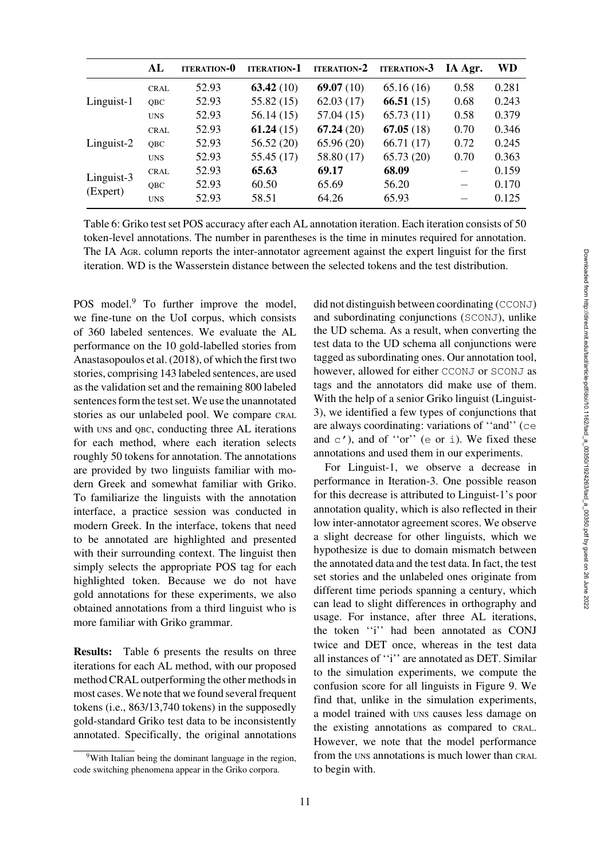|                        | AL          | <b>ITERATION-0</b> | <b>ITERATION-1</b> | <b>ITERATION-2</b> | <b>ITERATION-3</b> | IA Agr. | WD    |
|------------------------|-------------|--------------------|--------------------|--------------------|--------------------|---------|-------|
| Linguist-1             | <b>CRAL</b> | 52.93              | 63.42(10)          | 69.07 $(10)$       | 65.16(16)          | 0.58    | 0.281 |
|                        | OBC         | 52.93              | 55.82(15)          | 62.03(17)          | 66.51(15)          | 0.68    | 0.243 |
|                        | <b>UNS</b>  | 52.93              | 56.14(15)          | 57.04(15)          | 65.73(11)          | 0.58    | 0.379 |
| $Linguist-2$           | <b>CRAL</b> | 52.93              | 61.24(15)          | 67.24(20)          | 67.05(18)          | 0.70    | 0.346 |
|                        | OBC         | 52.93              | 56.52(20)          | 65.96(20)          | 66.71(17)          | 0.72    | 0.245 |
|                        | <b>UNS</b>  | 52.93              | 55.45 (17)         | 58.80 (17)         | 65.73(20)          | 0.70    | 0.363 |
| Linguist-3<br>(Expert) | CRAL        | 52.93              | 65.63              | 69.17              | 68.09              |         | 0.159 |
|                        | <b>OBC</b>  | 52.93              | 60.50              | 65.69              | 56.20              |         | 0.170 |
|                        | <b>UNS</b>  | 52.93              | 58.51              | 64.26              | 65.93              |         | 0.125 |

<span id="page-10-1"></span>Table 6: Griko test set POS accuracy after each AL annotation iteration. Each iteration consists of 50 token-level annotations. The number in parentheses is the time in minutes required for annotation. The IA AGR. column reports the inter-annotator agreement against the expert linguist for the first iteration. WD is the Wasserstein distance between the selected tokens and the test distribution.

POS model.<sup>9</sup> To further improve the model, we fine-tune on the UoI corpus, which consists of 360 labeled sentences. We evaluate the AL performance on the 10 gold-labelled stories from [Anastasopoulos et al.](#page-12-0) [\(2018](#page-12-0)), of which the first two stories, comprising 143 labeled sentences, are used as the validation set and the remaining 800 labeled sentences form the test set. We use the unannotated stories as our unlabeled pool. We compare CRAL with UNS and QBC, conducting three AL iterations for each method, where each iteration selects roughly 50 tokens for annotation. The annotations are provided by two linguists familiar with modern Greek and somewhat familiar with Griko. To familiarize the linguists with the annotation interface, a practice session was conducted in modern Greek. In the interface, tokens that need to be annotated are highlighted and presented with their surrounding context. The linguist then simply selects the appropriate POS tag for each highlighted token. Because we do not have gold annotations for these experiments, we also obtained annotations from a third linguist who is more familiar with Griko grammar.

Results: [Table 6](#page-10-1) presents the results on three iterations for each AL method, with our proposed method CRAL outperforming the other methods in most cases. We note that we found several frequent tokens (i.e., 863/13,740 tokens) in the supposedly gold-standard Griko test data to be inconsistently annotated. Specifically, the original annotations did not distinguish between coordinating (CCONJ) and subordinating conjunctions (SCONJ), unlike the UD schema. As a result, when converting the test data to the UD schema all conjunctions were tagged as subordinating ones. Our annotation tool, however, allowed for either CCONJ or SCONJ as tags and the annotators did make use of them. With the help of a senior Griko linguist (Linguist-3), we identified a few types of conjunctions that are always coordinating: variations of ''and'' (ce and  $c'$ ), and of "or" (e or i). We fixed these annotations and used them in our experiments.

For Linguist-1, we observe a decrease in performance in Iteration-3. One possible reason for this decrease is attributed to Linguist-1's poor annotation quality, which is also reflected in their low inter-annotator agreement scores. We observe a slight decrease for other linguists, which we hypothesize is due to domain mismatch between the annotated data and the test data. In fact, the test set stories and the unlabeled ones originate from different time periods spanning a century, which can lead to slight differences in orthography and usage. For instance, after three AL iterations, the token ''i'' had been annotated as CONJ twice and DET once, whereas in the test data all instances of ''i'' are annotated as DET. Similar to the simulation experiments, we compute the confusion score for all linguists in [Figure 9.](#page-11-0) We find that, unlike in the simulation experiments, a model trained with UNS causes less damage on the existing annotations as compared to CRAL. However, we note that the model performance from the UNS annotations is much lower than CRAL to begin with.

<span id="page-10-0"></span><sup>&</sup>lt;sup>9</sup>With Italian being the dominant language in the region, code switching phenomena appear in the Griko corpora.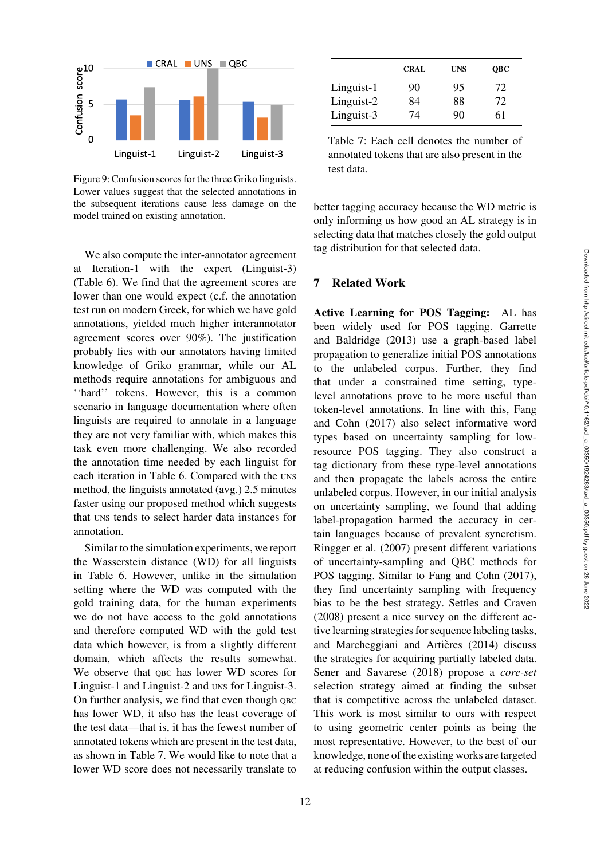

<span id="page-11-0"></span>Figure 9: Confusion scores for the three Griko linguists. Lower values suggest that the selected annotations in the subsequent iterations cause less damage on the model trained on existing annotation.

We also compute the inter-annotator agreement at Iteration-1 with the expert (Linguist-3) [\(Table 6\)](#page-10-1). We find that the agreement scores are lower than one would expect (c.f. the annotation test run on modern Greek, for which we have gold annotations, yielded much higher interannotator agreement scores over 90%). The justification probably lies with our annotators having limited knowledge of Griko grammar, while our AL methods require annotations for ambiguous and ''hard'' tokens. However, this is a common scenario in language documentation where often linguists are required to annotate in a language they are not very familiar with, which makes this task even more challenging. We also recorded the annotation time needed by each linguist for each iteration in [Table 6.](#page-10-1) Compared with the UNS method, the linguists annotated (avg.) 2.5 minutes faster using our proposed method which suggests that UNS tends to select harder data instances for annotation.

Similar to the simulation experiments, we report the Wasserstein distance (WD) for all linguists in Table 6. However, unlike in the simulation setting where the WD was computed with the gold training data, for the human experiments we do not have access to the gold annotations and therefore computed WD with the gold test data which however, is from a slightly different domain, which affects the results somewhat. We observe that QBC has lower WD scores for Linguist-1 and Linguist-2 and UNS for Linguist-3. On further analysis, we find that even though QBC has lower WD, it also has the least coverage of the test data—that is, it has the fewest number of annotated tokens which are present in the test data, as shown in [Table 7.](#page-11-1) We would like to note that a lower WD score does not necessarily translate to

|            | <b>CRAL</b> | UNS | <b>OBC</b> |
|------------|-------------|-----|------------|
| Linguist-1 | 90          | 95  | 72         |
| Linguist-2 | 84          | 88  | 72         |
| Linguist-3 | 74          | 90  | 61         |

<span id="page-11-1"></span>Table 7: Each cell denotes the number of annotated tokens that are also present in the test data.

better tagging accuracy because the WD metric is only informing us how good an AL strategy is in selecting data that matches closely the gold output tag distribution for that selected data.

### 7 Related Work

Active Learning for POS Tagging: AL has been widely [used for POS tagging.](#page-13-10) Garrette and Baldridge [\(2013\)](#page-13-10) use a graph-based label propagation to generalize initial POS annotations to the unlabeled corpus. Further, they find that under a constrained time setting, typelevel annotations prove to be more useful than token-lev[el annotations. In line with this,](#page-13-2) Fang and Cohn [\(2017](#page-13-2)) also select informative word types based on uncertainty sampling for lowresource POS tagging. They also construct a tag dictionary from these type-level annotations and then propagate the labels across the entire unlabeled corpus. However, in our initial analysis on uncertainty sampling, we found that adding label-propagation harmed the accuracy in certain languages because of prevalent syncretism. [Ringger et al.](#page-14-10) [\(2007\)](#page-14-10) present different variations of uncertainty-sampling and QBC methods for POS tagging. Similar to [Fang and Cohn](#page-13-2) [\(2017](#page-13-2)), they find uncertainty sampling with frequency bias to be the best strategy. [Settles and Craven](#page-14-2) [\(2008\)](#page-14-2) present a nice survey on the different active learning strategies for sequence labeling tasks, and Marcheggiani and Artières [\(2014](#page-14-3)) discuss the strategies for acquiring partially labeled data. [Sener and Savarese](#page-14-4) [\(2018\)](#page-14-4) propose a *core-set* selection strategy aimed at finding the subset that is competitive across the unlabeled dataset. This work is most similar to ours with respect to using geometric center points as being the most representative. However, to the best of our knowledge, none of the existing works are targeted at reducing confusion within the output classes.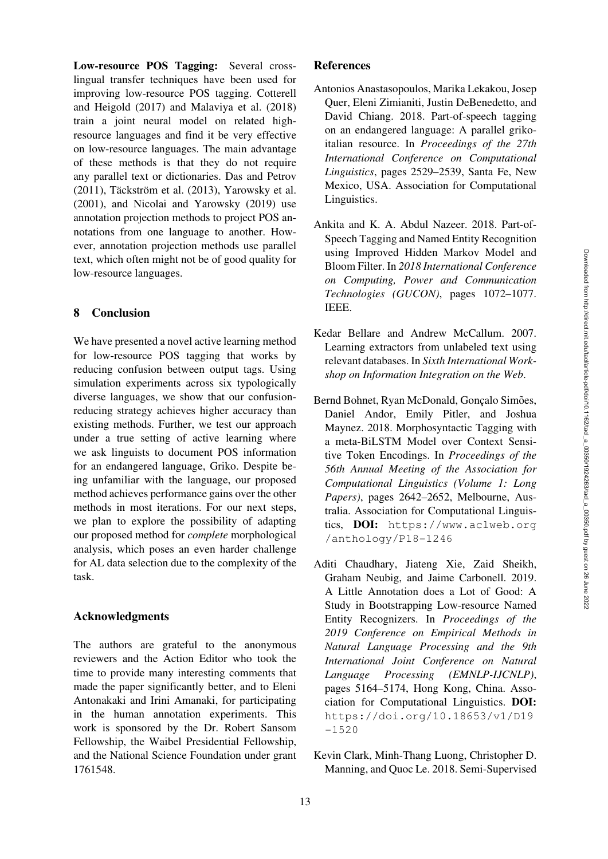Low-resource POS Tagging: Several crosslingual transfer techniques have been used for improving l[ow-resource POS tagging.](#page-13-3) Cotterell and Heigold [\(2017](#page-13-3)) and [Malaviya et al.](#page-14-11) [\(2018\)](#page-14-11) train a joint neural model on related highresource languages and find it be very effective on low-resource languages. The main advantage of these methods is that they do not require any parallel text or dictionaries. [Das and Petrov](#page-13-11)  $(2011)$ , Täckström et al.  $(2013)$  $(2013)$ , [Yarowsky et al.](#page-15-7) [\(2001\)](#page-15-7), and [Nicolai and Yarowsky](#page-14-12) [\(2019](#page-14-12)) use annotation projection methods to project POS annotations from one language to another. However, annotation projection methods use parallel text, which often might not be of good quality for low-resource languages.

# 8 Conclusion

We have presented a novel active learning method for low-resource POS tagging that works by reducing confusion between output tags. Using simulation experiments across six typologically diverse languages, we show that our confusionreducing strategy achieves higher accuracy than existing methods. Further, we test our approach under a true setting of active learning where we ask linguists to document POS information for an endangered language, Griko. Despite being unfamiliar with the language, our proposed method achieves performance gains over the other methods in most iterations. For our next steps, we plan to explore the possibility of adapting our proposed method for *complete* morphological analysis, which poses an even harder challenge for AL data selection due to the complexity of the task.

### Acknowledgments

The authors are grateful to the anonymous reviewers and the Action Editor who took the time to provide many interesting comments that made the paper significantly better, and to Eleni Antonakaki and Irini Amanaki, for participating in the human annotation experiments. This work is sponsored by the Dr. Robert Sansom Fellowship, the Waibel Presidential Fellowship, and the National Science Foundation under grant 1761548.

# **References**

- <span id="page-12-0"></span>Antonios Anastasopoulos, Marika Lekakou, Josep Quer, Eleni Zimianiti, Justin DeBenedetto, and David Chiang. 2018. Part-of-speech tagging on an endangered language: A parallel grikoitalian resource. In *Proceedings of the 27th International Conference on Computational Linguistics*, pages 2529–2539, Santa Fe, New Mexico, USA. Association for Computational Linguistics.
- Ankita and K. A. Abdul Nazeer. 2018. Part-of-Speech Tagging and Named Entity Recognition using Improved Hidden Markov Model and Bloom Filter. In *2018 International Conference on Computing, Power and Communication Technologies (GUCON)*, pages 1072–1077. IEEE.
- <span id="page-12-4"></span>Kedar Bellare and Andrew McCallum. 2007. Learning extractors from unlabeled text using relevant databases. In *Sixth International Workshop on Information Integration on the Web*.
- <span id="page-12-1"></span>Bernd Bohnet, Ryan McDonald, Goncalo Simões, Daniel Andor, Emily Pitler, and Joshua Maynez. 2018. Morphosyntactic Tagging with a meta-BiLSTM Model over Context Sensitive Token Encodings. In *Proceedings of the 56th Annual Meeting of the Association for Computational Linguistics (Volume 1: Long Papers)*, pages 2642–2652, Melbourne, Australia. Association for Computational Linguistics, DOI: [https://www.aclweb.org](https://www.aclweb.org/anthology/P18-1246) [/anthology/P18-1246](https://www.aclweb.org/anthology/P18-1246)
- <span id="page-12-3"></span>Aditi Chaudhary, Jiateng Xie, Zaid Sheikh, Graham Neubig, and Jaime Carbonell. 2019. A Little Annotation does a Lot of Good: A Study in Bootstrapping Low-resource Named Entity Recognizers. In *Proceedings of the 2019 Conference on Empirical Methods in Natural Language Processing and the 9th International Joint Conference on Natural Language Processing (EMNLP-IJCNLP)*, pages 5164–5174, Hong Kong, China. Association for Computational Linguistics. DOI: [https://doi.org/10.18653/v1/D19](https://doi.org/10.18653/v1/D19-1520)  $-1520$
- <span id="page-12-2"></span>Kevin Clark, Minh-Thang Luong, Christopher D. Manning, and Quoc Le. 2018. Semi-Supervised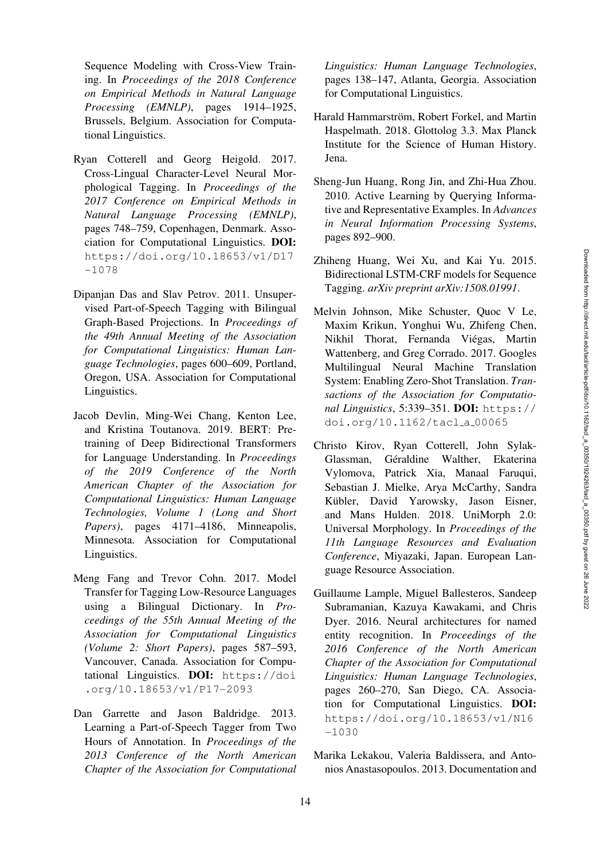Sequence Modeling with Cross-View Training. In *Proceedings of the 2018 Conference on Empirical Methods in Natural Language Processing (EMNLP)*, pages 1914–1925, Brussels, Belgium. Association for Computational Linguistics.

- <span id="page-13-3"></span>Ryan Cotterell and Georg Heigold. 2017. Cross-Lingual Character-Level Neural Morphological Tagging. In *Proceedings of the 2017 Conference on Empirical Methods in Natural Language Processing (EMNLP)*, pages 748–759, Copenhagen, Denmark. Association for Computational Linguistics. DOI: [https://doi.org/10.18653/v1/D17](https://doi.org/10.18653/v1/D17-1078) [-1078](https://doi.org/10.18653/v1/D17-1078)
- <span id="page-13-11"></span>Dipanjan Das and Slav Petrov. 2011. Unsupervised Part-of-Speech Tagging with Bilingual Graph-Based Projections. In *Proceedings of the 49th Annual Meeting of the Association for Computational Linguistics: Human Language Technologies*, pages 600–609, Portland, Oregon, USA. Association for Computational Linguistics.
- <span id="page-13-6"></span>Jacob Devlin, Ming-Wei Chang, Kenton Lee, and Kristina Toutanova. 2019. BERT: Pretraining of Deep Bidirectional Transformers for Language Understanding. In *Proceedings of the 2019 Conference of the North American Chapter of the Association for Computational Linguistics: Human Language Technologies, Volume 1 (Long and Short Papers)*, pages 4171–4186, Minneapolis, Minnesota. Association for Computational Linguistics.
- <span id="page-13-2"></span>Meng Fang and Trevor Cohn. 2017. Model Transfer for Tagging Low-Resource Languages using a Bilingual Dictionary. In *Proceedings of the 55th Annual Meeting of the Association for Computational Linguistics (Volume 2: Short Papers)*, pages 587–593, Vancouver, Canada. Association for Computational Linguistics. DOI: [https://doi](https://doi.org/10.18653/v1/P17-2093) [.org/10.18653/v1/P17-2093](https://doi.org/10.18653/v1/P17-2093)
- <span id="page-13-10"></span>Dan Garrette and Jason Baldridge. 2013. Learning a Part-of-Speech Tagger from Two Hours of Annotation. In *Proceedings of the 2013 Conference of the North American Chapter of the Association for Computational*

*Linguistics: Human Language Technologies*, pages 138–147, Atlanta, Georgia. Association for Computational Linguistics.

- <span id="page-13-1"></span>Harald Hammarström, Robert Forkel, and Martin Haspelmath. 2018. Glottolog 3.3. Max Planck Institute for the Science of Human History. Jena.
- <span id="page-13-4"></span>Sheng-Jun Huang, Rong Jin, and Zhi-Hua Zhou. 2010. Active Learning by Querying Informative and Representative Examples. In *Advances in Neural Information Processing Systems*, pages 892–900.
- <span id="page-13-0"></span>Zhiheng Huang, Wei Xu, and Kai Yu. 2015. Bidirectional LSTM-CRF models for Sequence Tagging. *arXiv preprint arXiv:1508.01991*.
- <span id="page-13-7"></span>Melvin Johnson, Mike Schuster, Quoc V Le, Maxim Krikun, Yonghui Wu, Zhifeng Chen, Nikhil Thorat, Fernanda Viegas, Martin ´ Wattenberg, and Greg Corrado. 2017. Googles Multilingual Neural Machine Translation System: Enabling Zero-Shot Translation. *Transactions of the Association for Computational Linguistics*, 5:339–351. DOI: [https://](https://doi.org/10.1162/tacl_a_00065) [doi.org/10.1162/tacl](https://doi.org/10.1162/tacl_a_00065) a 00065
- <span id="page-13-8"></span>Christo Kirov, Ryan Cotterell, John Sylak-Glassman, Géraldine Walther, Ekaterina Vylomova, Patrick Xia, Manaal Faruqui, Sebastian J. Mielke, Arya McCarthy, Sandra Kübler, David Yarowsky, Jason Eisner, and Mans Hulden. 2018. UniMorph 2.0: Universal Morphology. In *Proceedings of the 11th Language Resources and Evaluation Conference*, Miyazaki, Japan. European Language Resource Association.
- <span id="page-13-5"></span>Guillaume Lample, Miguel Ballesteros, Sandeep Subramanian, Kazuya Kawakami, and Chris Dyer. 2016. Neural architectures for named entity recognition. In *Proceedings of the 2016 Conference of the North American Chapter of the Association for Computational Linguistics: Human Language Technologies*, pages 260–270, San Diego, CA. Association for Computational Linguistics. DOI: [https://doi.org/10.18653/v1/N16](https://doi.org/10.18653/v1/N16-1030)  $-1030$
- <span id="page-13-9"></span>Marika Lekakou, Valeria Baldissera, and Antonios Anastasopoulos. 2013. Documentation and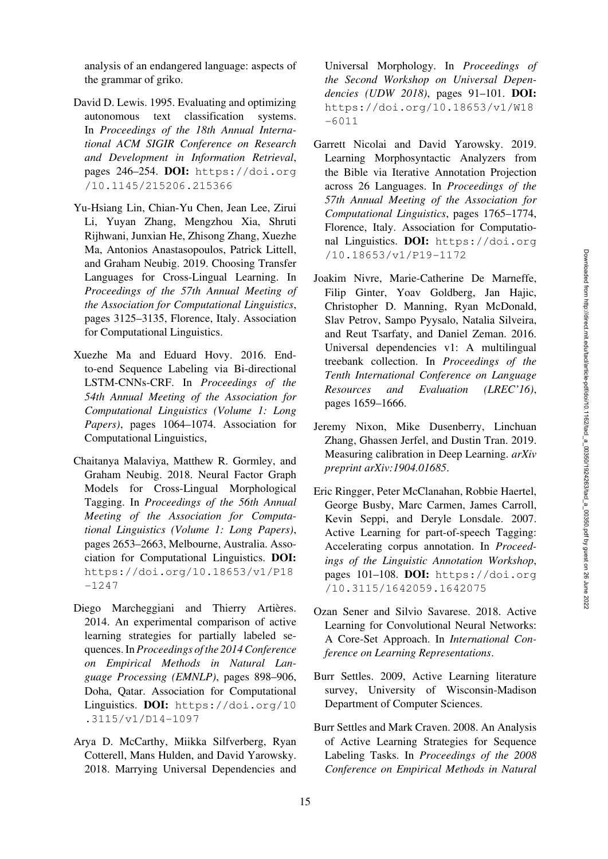analysis of an endangered language: aspects of the grammar of griko.

- <span id="page-14-0"></span>David D. Lewis. 1995. Evaluating and optimizing autonomous text classification systems. In *Proceedings of the 18th Annual International ACM SIGIR Conference on Research and Development in Information Retrieval*, pages 246–254. DOI: [https://doi.org](https://doi.org/10.1145/215206.215366) [/10.1145/215206.215366](https://doi.org/10.1145/215206.215366)
- <span id="page-14-6"></span>Yu-Hsiang Lin, Chian-Yu Chen, Jean Lee, Zirui Li, Yuyan Zhang, Mengzhou Xia, Shruti Rijhwani, Junxian He, Zhisong Zhang, Xuezhe Ma, Antonios Anastasopoulos, Patrick Littell, and Graham Neubig. 2019. Choosing Transfer Languages for Cross-Lingual Learning. In *Proceedings of the 57th Annual Meeting of the Association for Computational Linguistics*, pages 3125–3135, Florence, Italy. Association for Computational Linguistics.
- <span id="page-14-5"></span>Xuezhe Ma and Eduard Hovy. 2016. Endto-end Sequence Labeling via Bi-directional LSTM-CNNs-CRF. In *Proceedings of the 54th Annual Meeting of the Association for Computational Linguistics (Volume 1: Long Papers)*, pages 1064–1074. Association for Computational Linguistics,
- <span id="page-14-11"></span>Chaitanya Malaviya, Matthew R. Gormley, and Graham Neubig. 2018. Neural Factor Graph Models for Cross-Lingual Morphological Tagging. In *Proceedings of the 56th Annual Meeting of the Association for Computational Linguistics (Volume 1: Long Papers)*, pages 2653–2663, Melbourne, Australia. Association for Computational Linguistics. DOI: [https://doi.org/10.18653/v1/P18](https://doi.org/10.18653/v1/P18-1247) [-1247](https://doi.org/10.18653/v1/P18-1247)
- <span id="page-14-3"></span>Diego Marcheggiani and Thierry Artières. 2014. An experimental comparison of active learning strategies for partially labeled sequences. In *Proceedings of the 2014 Conference on Empirical Methods in Natural Language Processing (EMNLP)*, pages 898–906, Doha, Qatar. Association for Computational Linguistics. DOI: [https://doi.org/10](https://doi.org/10.3115/v1/D14-1097) [.3115/v1/D14-1097](https://doi.org/10.3115/v1/D14-1097)
- <span id="page-14-8"></span>Arya D. McCarthy, Miikka Silfverberg, Ryan Cotterell, Mans Hulden, and David Yarowsky. 2018. Marrying Universal Dependencies and

Universal Morphology. In *Proceedings of the Second Workshop on Universal Dependencies (UDW 2018)*, pages 91–101. DOI: [https://doi.org/10.18653/v1/W18](https://doi.org/10.18653/v1/W18-6011) [-6011](https://doi.org/10.18653/v1/W18-6011)

- <span id="page-14-12"></span>Garrett Nicolai and David Yarowsky. 2019. Learning Morphosyntactic Analyzers from the Bible via Iterative Annotation Projection across 26 Languages. In *Proceedings of the 57th Annual Meeting of the Association for Computational Linguistics*, pages 1765–1774, Florence, Italy. Association for Computational Linguistics. DOI: [https://doi.org](https://doi.org/10.18653/v1/P19-1172) [/10.18653/v1/P19-1172](https://doi.org/10.18653/v1/P19-1172)
- <span id="page-14-7"></span>Joakim Nivre, Marie-Catherine De Marneffe, Filip Ginter, Yoav Goldberg, Jan Hajic, Christopher D. Manning, Ryan McDonald, Slav Petrov, Sampo Pyysalo, Natalia Silveira, and Reut Tsarfaty, and Daniel Zeman. 2016. Universal dependencies v1: A multilingual treebank collection. In *Proceedings of the Tenth International Conference on Language Resources and Evaluation (LREC'16)*, pages 1659–1666.
- <span id="page-14-9"></span>Jeremy Nixon, Mike Dusenberry, Linchuan Zhang, Ghassen Jerfel, and Dustin Tran. 2019. Measuring calibration in Deep Learning. *arXiv preprint arXiv:1904.01685*.
- <span id="page-14-10"></span>Eric Ringger, Peter McClanahan, Robbie Haertel, George Busby, Marc Carmen, James Carroll, Kevin Seppi, and Deryle Lonsdale. 2007. Active Learning for part-of-speech Tagging: Accelerating corpus annotation. In *Proceedings of the Linguistic Annotation Workshop*, pages 101–108. DOI: [https://doi.org](https://doi.org/10.3115/1642059.1642075) [/10.3115/1642059.1642075](https://doi.org/10.3115/1642059.1642075)
- <span id="page-14-4"></span>Ozan Sener and Silvio Savarese. 2018. Active Learning for Convolutional Neural Networks: A Core-Set Approach. In *International Conference on Learning Representations*.
- <span id="page-14-1"></span>Burr Settles. 2009, Active Learning literature survey, University of Wisconsin-Madison Department of Computer Sciences.
- <span id="page-14-2"></span>Burr Settles and Mark Craven. 2008. An Analysis of Active Learning Strategies for Sequence Labeling Tasks. In *Proceedings of the 2008 Conference on Empirical Methods in Natural*